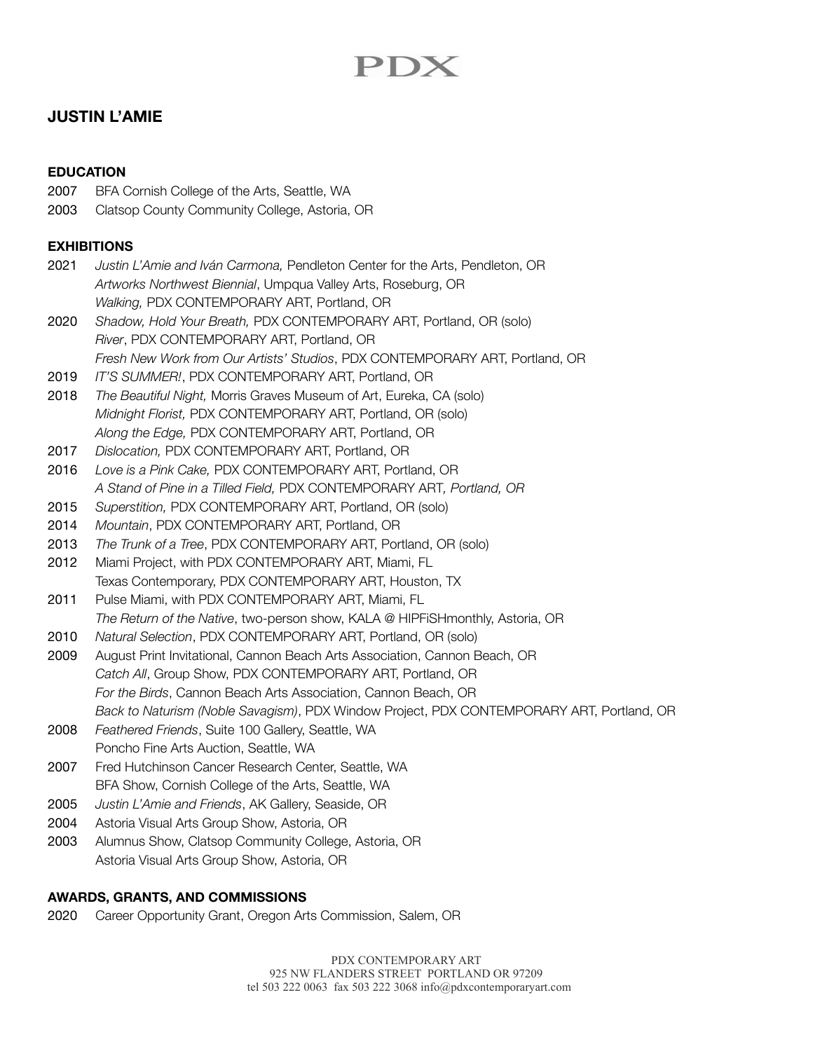# PDX

# **JUSTIN L'AMIE**

## **EDUCATION**

- 2007 BFA Cornish College of the Arts, Seattle, WA
- 2003 Clatsop County Community College, Astoria, OR

# **EXHIBITIONS**

- 2021 *Justin L'Amie and Iván Carmona,* Pendleton Center for the Arts, Pendleton, OR *Artworks Northwest Biennial*, Umpqua Valley Arts, Roseburg, OR *Walking,* PDX CONTEMPORARY ART, Portland, OR 2020 *Shadow, Hold Your Breath,* PDX CONTEMPORARY ART, Portland, OR (solo) *River*, PDX CONTEMPORARY ART, Portland, OR *Fresh New Work from Our Artists' Studios*, PDX CONTEMPORARY ART, Portland, OR
- 2019 *IT'S SUMMER!*, PDX CONTEMPORARY ART, Portland, OR
- 2018 *The Beautiful Night,* Morris Graves Museum of Art, Eureka, CA (solo) *Midnight Florist,* PDX CONTEMPORARY ART, Portland, OR (solo) *Along the Edge,* PDX CONTEMPORARY ART, Portland, OR
- 2017 *Dislocation,* PDX CONTEMPORARY ART, Portland, OR
- 2016 *Love is a Pink Cake,* PDX CONTEMPORARY ART, Portland, OR *A Stand of Pine in a Tilled Field,* PDX CONTEMPORARY ART*, Portland, OR*
- 2015 *Superstition,* PDX CONTEMPORARY ART, Portland, OR (solo)
- 2014 *Mountain*, PDX CONTEMPORARY ART, Portland, OR
- 2013 *The Trunk of a Tree*, PDX CONTEMPORARY ART, Portland, OR (solo)
- 2012 Miami Project, with PDX CONTEMPORARY ART, Miami, FL Texas Contemporary, PDX CONTEMPORARY ART, Houston, TX
- 2011 Pulse Miami, with PDX CONTEMPORARY ART, Miami, FL *The Return of the Native*, two-person show, KALA @ HIPFiSHmonthly, Astoria, OR
- 2010 *Natural Selection*, PDX CONTEMPORARY ART, Portland, OR (solo)
- 2009 August Print Invitational, Cannon Beach Arts Association, Cannon Beach, OR *Catch All*, Group Show, PDX CONTEMPORARY ART, Portland, OR *For the Birds*, Cannon Beach Arts Association, Cannon Beach, OR *Back to Naturism (Noble Savagism)*, PDX Window Project, PDX CONTEMPORARY ART, Portland, OR
- 2008 *Feathered Friends*, Suite 100 Gallery, Seattle, WA Poncho Fine Arts Auction, Seattle, WA
- 2007 Fred Hutchinson Cancer Research Center, Seattle, WA BFA Show, Cornish College of the Arts, Seattle, WA
- 2005 *Justin L'Amie and Friends*, AK Gallery, Seaside, OR
- 2004 Astoria Visual Arts Group Show, Astoria, OR
- 2003 Alumnus Show, Clatsop Community College, Astoria, OR Astoria Visual Arts Group Show, Astoria, OR

## **AWARDS, GRANTS, AND COMMISSIONS**

2020 Career Opportunity Grant, Oregon Arts Commission, Salem, OR